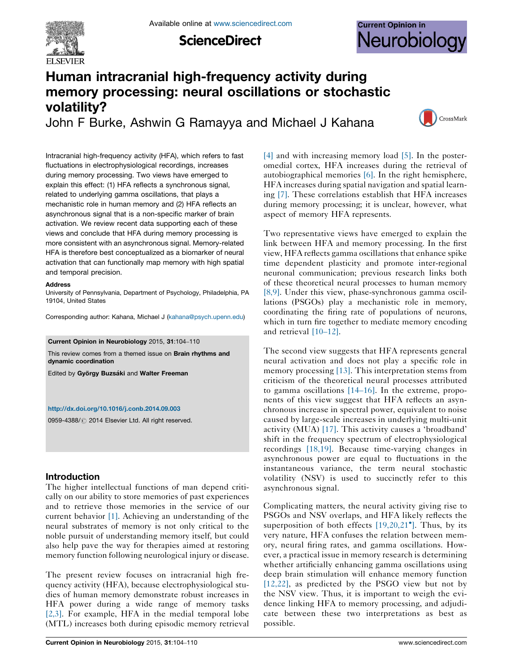

**ScienceDirect** 

# **Current Opinion in** Neurobiology

## Human intracranial high-frequency activity during memory processing: neural oscillations or stochastic volatility? John F Burke, Ashwin G Ramayya and Michael J Kahana



Intracranial high-frequency activity (HFA), which refers to fast fluctuations in electrophysiological recordings, increases during memory processing. Two views have emerged to explain this effect: (1) HFA reflects a synchronous signal, related to underlying gamma oscillations, that plays a mechanistic role in human memory and (2) HFA reflects an asynchronous signal that is a non-specific marker of brain activation. We review recent data supporting each of these views and conclude that HFA during memory processing is more consistent with an asynchronous signal. Memory-related HFA is therefore best conceptualized as a biomarker of neural activation that can functionally map memory with high spatial and temporal precision.

#### **Address**

University of Pennsylvania, Department of Psychology, Philadelphia, PA 19104, United States

Corresponding author: Kahana, Michael J [\(kahana@psych.upenn.edu](mailto:kahana@psych.upenn.edu))

Current Opinion in Neurobiology 2015, 31:104–110

This review comes from a themed issue on Brain rhythms and dynamic coordination

Edited by György Buzsáki and Walter Freeman

#### <http://dx.doi.org/10.1016/j.conb.2014.09.003>

0959-4388/ 2014 Elsevier Ltd. All right reserved.

#### Introduction

The higher intellectual functions of man depend critically on our ability to store memories of past experiences and to retrieve those memories in the service of our current behavior [\[1\]](#page-4-0). Achieving an understanding of the neural substrates of memory is not only critical to the noble pursuit of understanding memory itself, but could also help pave the way for therapies aimed at restoring memory function following neurological injury or disease.

The present review focuses on intracranial high frequency activity (HFA), because electrophysiological studies of human memory demonstrate robust increases in HFA power during a wide range of memory tasks [\[2,3\].](#page-4-0) For example, HFA in the medial temporal lobe (MTL) increases both during episodic memory retrieval

[\[4\]](#page-4-0) and with increasing memory load [\[5\].](#page-4-0) In the posteromedial cortex, HFA increases during the retrieval of autobiographical memories [\[6\].](#page-4-0) In the right hemisphere, HFA increases during spatial navigation and spatial learning [\[7\]](#page-4-0). These correlations establish that HFA increases during memory processing; it is unclear, however, what aspect of memory HFA represents.

Two representative views have emerged to explain the link between HFA and memory processing. In the first view, HFA reflects gamma oscillations that enhance spike time dependent plasticity and promote inter-regional neuronal communication; previous research links both of these theoretical neural processes to human memory [\[8,9\]](#page-4-0). Under this view, phase-synchronous gamma oscillations (PSGOs) play a mechanistic role in memory, coordinating the firing rate of populations of neurons, which in turn fire together to mediate memory encoding and retrieval [10–[12\].](#page-4-0)

The second view suggests that HFA represents general neural activation and does not play a specific role in memory processing [\[13\].](#page-4-0) This interpretation stems from criticism of the theoretical neural processes attributed to gamma oscillations [14–[16\].](#page-5-0) In the extreme, proponents of this view suggest that HFA reflects an asynchronous increase in spectral power, equivalent to noise caused by large-scale increases in underlying multi-unit activity (MUA) [\[17\]](#page-5-0). This activity causes a 'broadband' shift in the frequency spectrum of electrophysiological recordings [\[18,19\].](#page-5-0) Because time-varying changes in asynchronous power are equal to fluctuations in the instantaneous variance, the term neural stochastic volatility (NSV) is used to succinctly refer to this asynchronous signal.

Complicating matters, the neural activity giving rise to PSGOs and NSV overlaps, and HFA likely reflects the superposition of both effects [\[19,20,21](#page-5-0)°[\].](#page-5-0) Thus, by its very nature, HFA confuses the relation between memory, neural firing rates, and gamma oscillations. However, a practical issue in memory research is determining whether artificially enhancing gamma oscillations using deep brain stimulation will enhance memory function [\[12,22\],](#page-4-0) as predicted by the PSGO view but not by the NSV view. Thus, it is important to weigh the evidence linking HFA to memory processing, and adjudicate between these two interpretations as best as possible.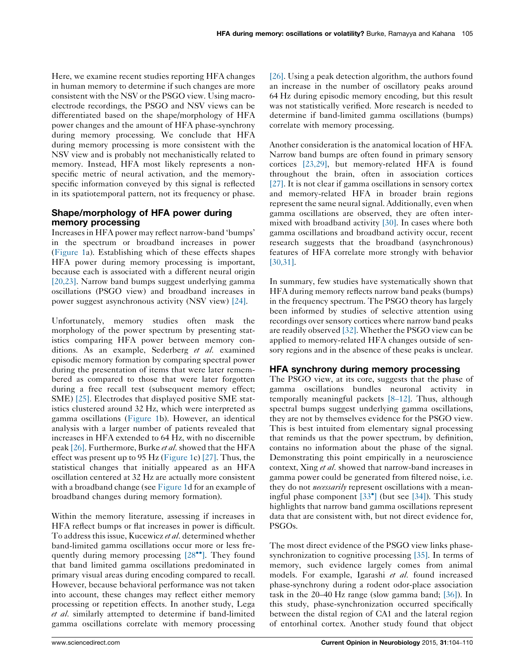Here, we examine recent studies reporting HFA changes in human memory to determine if such changes are more consistent with the NSV or the PSGO view. Using macroelectrode recordings, the PSGO and NSV views can be differentiated based on the shape/morphology of HFA power changes and the amount of HFA phase-synchrony during memory processing. We conclude that HFA during memory processing is more consistent with the NSV view and is probably not mechanistically related to memory. Instead, HFA most likely represents a nonspecific metric of neural activation, and the memoryspecific information conveyed by this signal is reflected in its spatiotemporal pattern, not its frequency or phase.

## Shape/morphology of HFA power during memory processing

Increasesin HFA power may reflect narrow-band 'bumps' in the spectrum or broadband increases in power [\(Figure](#page-2-0) 1a). Establishing which of these effects shapes HFA power during memory processing is important, because each is associated with a different neural origin [\[20,23\]](#page-5-0). Narrow band bumps suggest underlying gamma oscillations (PSGO view) and broadband increases in power suggest asynchronous activity (NSV view) [\[24\]](#page-5-0).

Unfortunately, memory studies often mask the morphology of the power spectrum by presenting statistics comparing HFA power between memory conditions. As an example, Sederberg et al. examined episodic memory formation by comparing spectral power during the presentation of items that were later remembered as compared to those that were later forgotten during a free recall test (subsequent memory effect; SME) [\[25\].](#page-5-0) Electrodes that displayed positive SME statistics clustered around 32 Hz, which were interpreted as gamma oscillations ([Figure](#page-2-0) 1b). However, an identical analysis with a larger number of patients revealed that increases in HFA extended to 64 Hz, with no discernible peak [\[26\]](#page-5-0). Furthermore, Burke et al. showed that the HFA effect was present up to 95 Hz [\(Figure](#page-2-0) 1c) [\[27\]](#page-5-0). Thus, the statistical changes that initially appeared as an HFA oscillation centered at 32 Hz are actually more consistent with a broadband change (see [Figure](#page-2-0) 1d for an example of broadband changes during memory formation).

Within the memory literature, assessing if increases in HFA reflect bumps or flat increases in power is difficult. To address this issue, Kucewicz et al. determined whether band-limited gamma oscillations occur more or less fre-quently during memory processing [\[28](#page-5-0)<sup>\*\*</sup>[\].](#page-5-0) They found that band limited gamma oscillations predominated in primary visual areas during encoding compared to recall. However, because behavioral performance was not taken into account, these changes may reflect either memory processing or repetition effects. In another study, Lega et al. similarly attempted to determine if band-limited gamma oscillations correlate with memory processing

[\[26\].](#page-5-0) Using a peak detection algorithm, the authors found an increase in the number of oscillatory peaks around 64 Hz during episodic memory encoding, but this result was not statistically verified. More research is needed to determine if band-limited gamma oscillations (bumps) correlate with memory processing.

Another consideration is the anatomical location of HFA. Narrow band bumps are often found in primary sensory cortices [\[23,29\]](#page-5-0), but memory-related HFA is found throughout the brain, often in association cortices [\[27\].](#page-5-0) It is not clear if gamma oscillations in sensory cortex and memory-related HFA in broader brain regions represent the same neural signal. Additionally, even when gamma oscillations are observed, they are often intermixed with broadband activity [\[30\].](#page-5-0) In cases where both gamma oscillations and broadband activity occur, recent research suggests that the broadband (asynchronous) features of HFA correlate more strongly with behavior [\[30,31\]](#page-5-0).

In summary, few studies have systematically shown that HFA during memory reflects narrow band peaks (bumps) in the frequency spectrum. The PSGO theory has largely been informed by studies of selective attention using recordings over sensory cortices where narrow band peaks are readily observed [\[32\].](#page-5-0) Whether the PSGO view can be applied to memory-related HFA changes outside of sensory regions and in the absence of these peaks is unclear.

## HFA synchrony during memory processing

The PSGO view, at its core, suggests that the phase of gamma oscillations bundles neuronal activity in temporally meaningful packets [8–[12\]](#page-4-0). Thus, although spectral bumps suggest underlying gamma oscillations, they are not by themselves evidence for the PSGO view. This is best intuited from elementary signal processing that reminds us that the power spectrum, by definition, contains no information about the phase of the signal. Demonstrating this point empirically in a neuroscience context, Xing *et al*. showed that narrow-band increases in gamma power could be generated from filtered noise, i.e. they do not *necessarily* represent oscillations with a mean-ingful phase component [\[33](#page-5-0)<sup>\*</sup>[\]](#page-5-0) (but see [\[34\]\)](#page-5-0). This study highlights that narrow band gamma oscillations represent data that are consistent with, but not direct evidence for, PSGOs.

The most direct evidence of the PSGO view links phasesynchronization to cognitive processing [\[35\]](#page-5-0). In terms of memory, such evidence largely comes from animal models. For example, Igarashi et al. found increased phase-synchrony during a rodent odor-place association task in the 20–40 Hz range (slow gamma band; [\[36\]\)](#page-5-0). In this study, phase-synchronization occurred specifically between the distal region of CA1 and the lateral region of entorhinal cortex. Another study found that object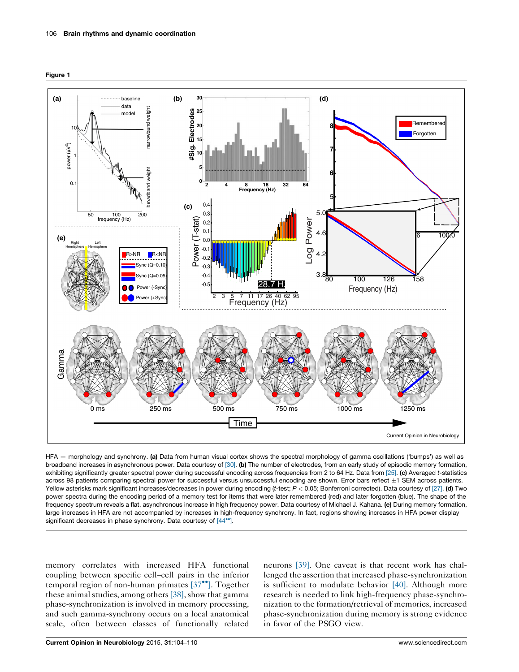<span id="page-2-0"></span>



HFA — morphology and synchrony. (a) Data from human visual cortex shows the spectral morphology of gamma oscillations ('bumps') as well as broadband increases in asynchronous power. Data courtesy of [\[30\].](#page-5-0) (b) The number of electrodes, from an early study of episodic memory formation, exhibiting significantly greater spectral power during successful encoding across frequencies from 2 to 64 Hz. Data from [\[25\].](#page-5-0) (c) Averaged t-statistics across 98 patients comparing spectral power for successful versus unsuccessful encoding are shown. Error bars reflect ±1 SEM across patients. Yellow asterisks mark significant increases/decreases in power during encoding (t-test;  $P < 0.05$ ; Bonferroni corrected). Data courtesy of [\[27\]](#page-5-0). (d) Two power spectra during the encoding period of a memory test for items that were later remembered (red) and later forgotten (blue). The shape of the frequency spectrum reveals a flat, asynchronous increase in high frequency power. Data courtesy of Michael J. Kahana. (e) During memory formation, large increases in HFA are not accompanied by increases in high-frequency synchrony. In fact, regions showing increases in HFA power display significant decreases in phase synchrony. Data courtesy of [\[44](#page-6-0)\*\*[\].](#page-6-0)

memory correlates with increased HFA functional coupling between specific cell–cell pairs in the inferior temporal region of non-human primates [\[37](#page-5-0)<sup>\*</sup>[\]](#page-5-0). Together these animal studies, among others  $[38]$ , show that gamma phase-synchronization is involved in memory processing, and such gamma-synchrony occurs on a local anatomical scale, often between classes of functionally related

neurons [\[39\].](#page-5-0) One caveat is that recent work has challenged the assertion that increased phase-synchronization is sufficient to modulate behavior  $[40]$ . Although more research is needed to link high-frequency phase-synchronization to the formation/retrieval of memories, increased phase-synchronization during memory is strong evidence in favor of the PSGO view.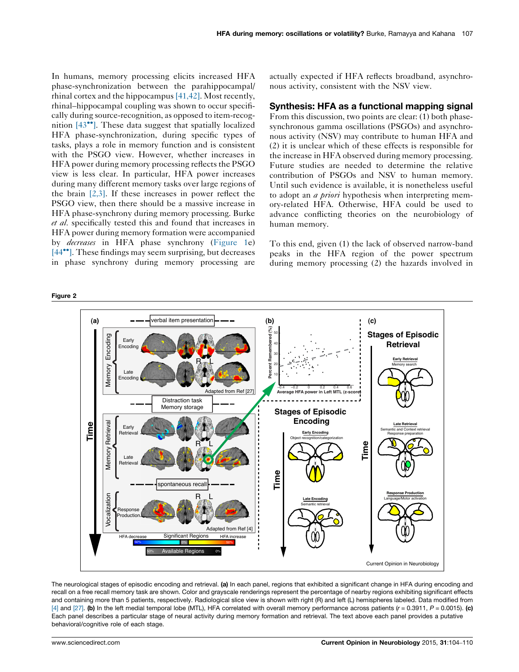<span id="page-3-0"></span>In humans, memory processing elicits increased HFA phase-synchronization between the parahippocampal/ rhinal cortex and the hippocampus [\[41,42\]](#page-5-0). Most recently, rhinal–hippocampal coupling was shown to occur specifically during source-recognition, as opposed to item-recog-nition [\[43](#page-5-0)<sup>\*</sup>[\]](#page-5-0). These data suggest that spatially localized HFA phase-synchronization, during specific types of tasks, plays a role in memory function and is consistent with the PSGO view. However, whether increases in HFA power during memory processing reflects the PSGO view is less clear. In particular, HFA power increases during many different memory tasks over large regions of the brain  $[2,3]$ . If these increases in power reflect the PSGO view, then there should be a massive increase in HFA phase-synchrony during memory processing. Burke et al. specifically tested this and found that increases in HFA power during memory formation were accompanied by decreases in HFA phase synchrony ([Figure](#page-2-0) 1e) [\[44](#page-6-0)<sup>\*\*</sup>[\]](#page-6-0). These findings may seem surprising, but decreases in phase synchrony during memory processing are

Figure 2

actually expected if HFA reflects broadband, asynchronous activity, consistent with the NSV view.

#### Synthesis: HFA as a functional mapping signal

From this discussion, two points are clear: (1) both phasesynchronous gamma oscillations (PSGOs) and asynchronous activity (NSV) may contribute to human HFA and (2) it is unclear which of these effects is responsible for the increase in HFA observed during memory processing. Future studies are needed to determine the relative contribution of PSGOs and NSV to human memory. Until such evidence is available, it is nonetheless useful to adopt an *a priori* hypothesis when interpreting memory-related HFA. Otherwise, HFA could be used to advance conflicting theories on the neurobiology of human memory.

To this end, given (1) the lack of observed narrow-band peaks in the HFA region of the power spectrum during memory processing (2) the hazards involved in



The neurological stages of episodic encoding and retrieval. (a) In each panel, regions that exhibited a significant change in HFA during encoding and recall on a free recall memory task are shown. Color and grayscale renderings represent the percentage of nearby regions exhibiting significant effects and containing more than 5 patients, respectively. Radiological slice view is shown with right (R) and left (L) hemispheres labeled. Data modified from [\[4\]](#page-4-0) and [\[27\].](#page-5-0) (b) In the left medial temporal lobe (MTL), HFA correlated with overall memory performance across patients ( $r = 0.3911$ ,  $P = 0.0015$ ). (c) Each panel describes a particular stage of neural activity during memory formation and retrieval. The text above each panel provides a putative behavioral/cognitive role of each stage.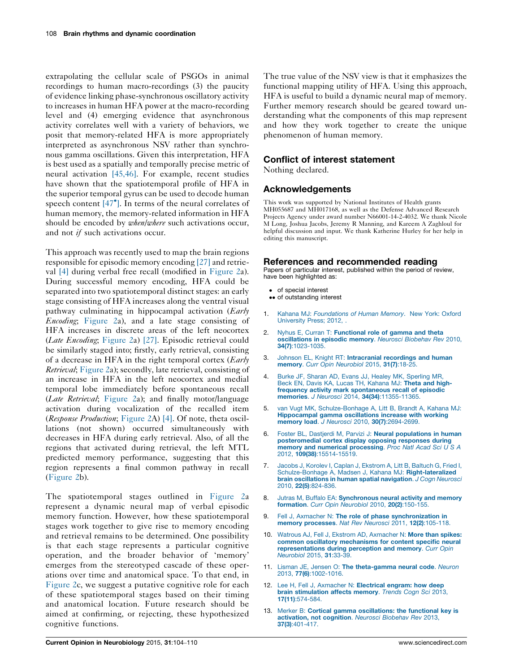<span id="page-4-0"></span>extrapolating the cellular scale of PSGOs in animal recordings to human macro-recordings (3) the paucity of evidence linking phase-synchronous oscillatory activity to increases in human HFA power at the macro-recording level and (4) emerging evidence that asynchronous activity correlates well with a variety of behaviors, we posit that memory-related HFA is more appropriately interpreted as asynchronous NSV rather than synchronous gamma oscillations. Given this interpretation, HFA is best used as a spatially and temporally precise metric of neural activation [\[45,46\]](#page-6-0). For example, recent studies have shown that the spatiotemporal profile of HFA in the superior temporal gyrus can be used to decode human speech content  $[47^{\circ}]$  $[47^{\circ}]$  $[47^{\circ}]$ . In terms of the neural correlates of human memory, the memory-related information in HFA should be encoded by when/where such activations occur, and not if such activations occur.

This approach was recently used to map the brain regions responsible for episodic memory encoding [\[27\]](#page-5-0) and retrieval [4] during verbal free recall (modified in [Figure](#page-3-0) 2a). During successful memory encoding, HFA could be separated into two spatiotemporal distinct stages: an early stage consisting of HFA increases along the ventral visual pathway culminating in hippocampal activation (*Early* Encoding; [Figure](#page-3-0) 2a), and a late stage consisting of HFA increases in discrete areas of the left neocortex (Late Encoding; [Figure](#page-3-0) 2a) [\[27\]](#page-5-0). Episodic retrieval could be similarly staged into; firstly, early retrieval, consisting of a decrease in HFA in the right temporal cortex  $\langle \text{Early} \rangle$ Retrieval; [Figure](#page-3-0) 2a); secondly, late retrieval, consisting of an increase in HFA in the left neocortex and medial temporal lobe immediately before spontaneous recall (*Late Retrieval*; [Figure](#page-3-0) 2a); and finally motor/language activation during vocalization of the recalled item (Response Production; [Figure](#page-3-0) 2A) [4]. Of note, theta oscillations (not shown) occurred simultaneously with decreases in HFA during early retrieval. Also, of all the regions that activated during retrieval, the left MTL predicted memory performance, suggesting that this region represents a final common pathway in recall [\(Figure](#page-3-0) 2b).

The spatiotemporal stages outlined in [Figure](#page-3-0) 2a represent a dynamic neural map of verbal episodic memory function. However, how these spatiotemporal stages work together to give rise to memory encoding and retrieval remains to be determined. One possibility is that each stage represents a particular cognitive operation, and the broader behavior of 'memory' emerges from the stereotyped cascade of these operations over time and anatomical space. To that end, in [Figure](#page-3-0) 2c, we suggest a putative cognitive role for each of these spatiotemporal stages based on their timing and anatomical location. Future research should be aimed at confirming, or rejecting, these hypothesized cognitive functions.

The true value of the NSV view is that it emphasizes the functional mapping utility of HFA. Using this approach, HFA is useful to build a dynamic neural map of memory. Further memory research should be geared toward understanding what the components of this map represent and how they work together to create the unique phenomenon of human memory.

### Conflict of interest statement

Nothing declared.

### Acknowledgements

This work was supported by National Institutes of Health grants MH055687 and MH017168, as well as the Defense Advanced Research Projects Agency under award number N66001-14-2-4032. We thank Nicole M Long, Joshua Jacobs, Jeremy R Manning, and Kareem A Zaghloul for helpful discussion and input. We thank Katherine Hurley for her help in editing this manuscript.

#### References and recommended reading

Papers of particular interest, published within the period of review, have been highlighted as:

- of special interest
- •• of outstanding interest
- 1. Kahana MJ: [Foundations](http://refhub.elsevier.com/S0959-4388(14)00181-0/sbref0005) of Human Memory. New York: Oxford [University](http://refhub.elsevier.com/S0959-4388(14)00181-0/sbref0005) Press: 2012.
- 2. Nyhus E, Curran T: [Functional](http://refhub.elsevier.com/S0959-4388(14)00181-0/sbref0010) role of gamma and theta [oscillations](http://refhub.elsevier.com/S0959-4388(14)00181-0/sbref0010) in episodic memory. Neurosci Biobehav Rev 2010, 34(7)[:1023-1035.](http://refhub.elsevier.com/S0959-4388(14)00181-0/sbref0010)
- 3. Johnson EL, Knight RT: [Intracranial](http://refhub.elsevier.com/S0959-4388(14)00181-0/sbref0015) recordings and human memory. Curr Opin [Neurobiol](http://refhub.elsevier.com/S0959-4388(14)00181-0/sbref0015) 2015, 31(7):18-25.
- 4. Burke JF, Sharan AD, Evans JJ, Healey MK, [Sperling](http://refhub.elsevier.com/S0959-4388(14)00181-0/sbref0020) MR, Beck EN, Davis KA, Lucas TH, [Kahana](http://refhub.elsevier.com/S0959-4388(14)00181-0/sbref0020) MJ: Theta and highfrequency activity mark [spontaneous](http://refhub.elsevier.com/S0959-4388(14)00181-0/sbref0020) recall of episodic memories. J Neurosci 2014, 34(34)[:11355-11365.](http://refhub.elsevier.com/S0959-4388(14)00181-0/sbref0020)
- 5. van Vugt MK, [Schulze-Bonhage](http://refhub.elsevier.com/S0959-4388(14)00181-0/sbref0025) A, Litt B, Brandt A, Kahana MJ: [Hippocampal](http://refhub.elsevier.com/S0959-4388(14)00181-0/sbref0025) gamma oscillations increase with working memory load. J Neurosci 2010, 30(7)[:2694-2699.](http://refhub.elsevier.com/S0959-4388(14)00181-0/sbref0025)
- 6. Foster BL, Dastjerdi M, Parvizi J: Neural [populations](http://refhub.elsevier.com/S0959-4388(14)00181-0/sbref0030) in human [posteromedial](http://refhub.elsevier.com/S0959-4388(14)00181-0/sbref0030) cortex display opposing responses during<br>memory and numerical [processing](http://refhub.elsevier.com/S0959-4388(14)00181-0/sbref0030). Proc Natl Acad Sci U S A 2012, 109(38)[:15514-15519.](http://refhub.elsevier.com/S0959-4388(14)00181-0/sbref0030)
- 7. Jacobs J, Korolev I, Caplan J, [Ekstrom](http://refhub.elsevier.com/S0959-4388(14)00181-0/sbref0035) A, Litt B, Baltuch G, Fried I, Schulze-Bonhage A, Madsen J, Kahana MJ: [Right-lateralized](http://refhub.elsevier.com/S0959-4388(14)00181-0/sbref0035) brain [oscillations](http://refhub.elsevier.com/S0959-4388(14)00181-0/sbref0035) in human spatial navigation. J Cogn Neurosci 2010, 22(5)[:824-836.](http://refhub.elsevier.com/S0959-4388(14)00181-0/sbref0035)
- 8. Jutras M. Buffalo EA: [Synchronous](http://refhub.elsevier.com/S0959-4388(14)00181-0/sbref0040) neural activity and memory [formation](http://refhub.elsevier.com/S0959-4388(14)00181-0/sbref0040). Curr Opin Neurobiol 2010, 20(2):150-155.
- 9. Fell J, Axmacher N: The role of phase [synchronization](http://refhub.elsevier.com/S0959-4388(14)00181-0/sbref0045) in memory [processes](http://refhub.elsevier.com/S0959-4388(14)00181-0/sbref0045). Nat Rev Neurosci 2011, 12(2):105-118.
- 10. Watrous AJ, Fell J, Ekstrom AD, [Axmacher](http://refhub.elsevier.com/S0959-4388(14)00181-0/sbref0050) N: More than spikes: common oscillatory [mechanisms](http://refhub.elsevier.com/S0959-4388(14)00181-0/sbref0050) for content specific neural [representations](http://refhub.elsevier.com/S0959-4388(14)00181-0/sbref0050) during perception and memory. Curr Opin [Neurobiol](http://refhub.elsevier.com/S0959-4388(14)00181-0/sbref0050) 2015, 31:33-3
- 11. Lisman JE, Jensen O: The [theta-gamma](http://refhub.elsevier.com/S0959-4388(14)00181-0/sbref0055) neural code. Neuron 2013, 77(6)[:1002-1016.](http://refhub.elsevier.com/S0959-4388(14)00181-0/sbref0055)
- 12. Lee H, Fell J, [Axmacher](http://refhub.elsevier.com/S0959-4388(14)00181-0/sbref0060) N: Electrical engram: how deep brain [stimulation](http://refhub.elsevier.com/S0959-4388(14)00181-0/sbref0060) affects memory. Trends Cogn Sci 2013, 17(11)[:574-584.](http://refhub.elsevier.com/S0959-4388(14)00181-0/sbref0060)
- 13. Merker B: Cortical gamma [oscillations:](http://refhub.elsevier.com/S0959-4388(14)00181-0/sbref0065) the functional key is [activation,](http://refhub.elsevier.com/S0959-4388(14)00181-0/sbref0065) not cognition. Neurosci Biobehav Rev 2013, 37(3)[:401-417.](http://refhub.elsevier.com/S0959-4388(14)00181-0/sbref0065)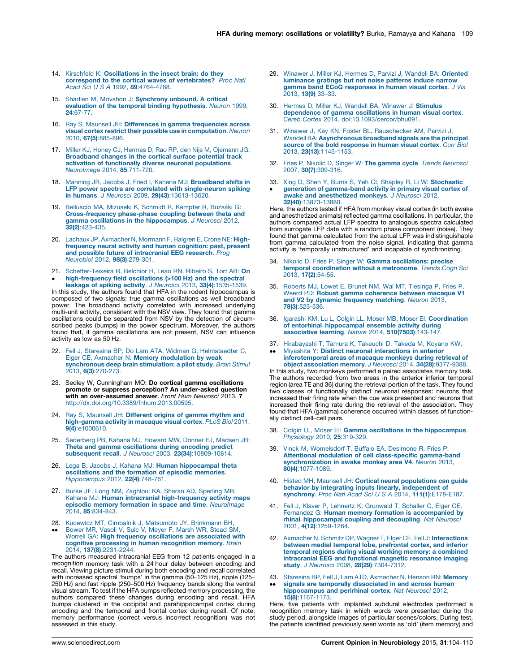- <span id="page-5-0"></span>14. Kirschfeld K: [Oscillations](http://refhub.elsevier.com/S0959-4388(14)00181-0/sbref0070) in the insect brain: do they correspond to the cortical waves of [vertebrates?](http://refhub.elsevier.com/S0959-4388(14)00181-0/sbref0070) Proc Natl Acad Sci U S A 1992, 89[:4764-4768.](http://refhub.elsevier.com/S0959-4388(14)00181-0/sbref0070)
- 15. Shadlen M, Movshon J: [Synchrony](http://refhub.elsevier.com/S0959-4388(14)00181-0/sbref0075) unbound. A critical evaluation of the temporal binding [hypothesis](http://refhub.elsevier.com/S0959-4388(14)00181-0/sbref0075). Neuron 1999, 24[:67-77.](http://refhub.elsevier.com/S0959-4388(14)00181-0/sbref0075)
- 16. Ray S, Maunsell JH: Differences in gamma [frequencies](http://refhub.elsevier.com/S0959-4388(14)00181-0/sbref0080) across visual cortex restrict their possible use in [computation](http://refhub.elsevier.com/S0959-4388(14)00181-0/sbref0080). Neuron 2010, 67(5)[:885-896.](http://refhub.elsevier.com/S0959-4388(14)00181-0/sbref0080)
- 17. Miller KJ, Honey CJ, Hermes D, Rao RP, den Nijs M, [Ojemann](http://refhub.elsevier.com/S0959-4388(14)00181-0/sbref0085) JG: [Broadband](http://refhub.elsevier.com/S0959-4388(14)00181-0/sbref0085) changes in the cortical surface potential track activation of functionally diverse neuronal [populations](http://refhub.elsevier.com/S0959-4388(14)00181-0/sbref0085). [NeuroImage](http://refhub.elsevier.com/S0959-4388(14)00181-0/sbref0085) 2014, 85:711-720.
- 18. Manning JR, Jacobs J, Fried I, Kahana MJ: [Broadband](http://refhub.elsevier.com/S0959-4388(14)00181-0/sbref0090) shifts in **LFP power spectra are correlated with [single-neuron](http://refhub.elsevier.com/S0959-4388(14)00181-0/sbref0090) spiking**<br>in humans. *J Neurosci* 2009, **29(43)**[:13613-13620.](http://refhub.elsevier.com/S0959-4388(14)00181-0/sbref0090)
- 19. [Belluscio](http://refhub.elsevier.com/S0959-4388(14)00181-0/sbref0095) MA, Mizuseki K, Schmidt R, Kempter R, Buzsáki G: [Cross-frequency](http://refhub.elsevier.com/S0959-4388(14)00181-0/sbref0095) phase-phase coupling between theta and gamma oscillations in the [hippocampus](http://refhub.elsevier.com/S0959-4388(14)00181-0/sbref0095). J Neurosci 2012, 32(2)[:423-435.](http://refhub.elsevier.com/S0959-4388(14)00181-0/sbref0095)
- 20. Lachaux JP, [Axmacher](http://refhub.elsevier.com/S0959-4388(14)00181-0/sbref0100) N, Mormann F, Halgren E, Crone NE: Highfrequency neural activity and human [cognition:](http://refhub.elsevier.com/S0959-4388(14)00181-0/sbref0100) past, present and possible future of [intracranial](http://refhub.elsevier.com/S0959-4388(14)00181-0/sbref0100) EEG research. Prog [Neurobiol](http://refhub.elsevier.com/S0959-4388(14)00181-0/sbref0100) 2012, 98(3):279-301.
- 21. [Scheffer-Teixeira](http://refhub.elsevier.com/S0959-4388(14)00181-0/sbref0105) R, Belchior H, Leao RN, Ribeiro S, Tort AB: On  $\bullet$ [high-frequency](http://refhub.elsevier.com/S0959-4388(14)00181-0/sbref0105) field oscillations (>100 Hz) and the spectral leakage of spiking activity. J Neurosci 2013, 33(4)[:1535-1539.](http://refhub.elsevier.com/S0959-4388(14)00181-0/sbref0105)

In this study, the authors found that HFA in the rodent hippocampus is composed of two signals: true gamma oscillations as well broadband power. The broadband activity correlated with increased underlying multi-unit activity, consistent with the NSV view. They found that gamma oscillations could be separated from NSV by the detection of circumscribed peaks (bumps) in the power spectrum. Moreover, the authors found that, if gamma oscillations are not present, NSV can influence activity as low as 50 Hz.

- 22. Fell J, Staresina BP, Do Lam ATA, Widman G, [Helmstaedter](http://refhub.elsevier.com/S0959-4388(14)00181-0/sbref0110) C, Elger CE, Axmacher N: Memory [modulation](http://refhub.elsevier.com/S0959-4388(14)00181-0/sbref0110) by weak [synchronous](http://refhub.elsevier.com/S0959-4388(14)00181-0/sbref0110) deep brain stimulation: a pilot study. Brain Stimul 2013, 6(3)[:270-273.](http://refhub.elsevier.com/S0959-4388(14)00181-0/sbref0110)
- 23. Sedley W, Cunningham MO: Do cortical gamma oscillations promote or suppress perception? An under-asked question with an over-assumed answer. Front Hum Neurosci 2013, 7 [http://dx.doi.org/10.3389/fnhum.2013.00595.](http://dx.doi.org/10.3389/fnhum.2013.00595)
- 24. Ray S, Maunsell JH: [Different](http://refhub.elsevier.com/S0959-4388(14)00181-0/sbref0120) origins of gamma rhythm and [high-gamma](http://refhub.elsevier.com/S0959-4388(14)00181-0/sbref0120) activity in macaque visual cortex. PLoS Biol 2011, 9(4)[:e1000610.](http://refhub.elsevier.com/S0959-4388(14)00181-0/sbref0120)
- 25. [Sederberg](http://refhub.elsevier.com/S0959-4388(14)00181-0/sbref0125) PB, Kahana MJ, Howard MW, Donner EJ, Madsen JR: Theta and gamma [oscillations](http://refhub.elsevier.com/S0959-4388(14)00181-0/sbref0125) during encoding predict subsequent recall. J Neurosci 2003, 23(34)[:10809-10814.](http://refhub.elsevier.com/S0959-4388(14)00181-0/sbref0125)
- 26. Lega B, Jacobs J, Kahana MJ: Human [hippocampal](http://refhub.elsevier.com/S0959-4388(14)00181-0/sbref0130) theta [oscillations](http://refhub.elsevier.com/S0959-4388(14)00181-0/sbref0130) and the formation of episodic memories. [Hippocampus](http://refhub.elsevier.com/S0959-4388(14)00181-0/sbref0130) 2012, 22(4):748-761.
- 27. Burke JF, Long NM, [Zaghloul](http://refhub.elsevier.com/S0959-4388(14)00181-0/sbref0135) KA, Sharan AD, Sperling MR, Kahana MJ: Human intracranial [high-frequency](http://refhub.elsevier.com/S0959-4388(14)00181-0/sbref0135) activity maps episodic memory formation in space and time. [NeuroImage](http://refhub.elsevier.com/S0959-4388(14)00181-0/sbref0135) 2014, 85[:834-843.](http://refhub.elsevier.com/S0959-4388(14)00181-0/sbref0135)
- 28. Kucewicz MT, Cimbalnik J, [Matsumoto](http://refhub.elsevier.com/S0959-4388(14)00181-0/sbref0140) JY, Brinkmann BH,
- $\bullet$ -[Bower](http://refhub.elsevier.com/S0959-4388(14)00181-0/sbref0140) MR, Vasoli V, Sulc V, Meyer F, Marsh WR, Stead SM, Worrell GA: High frequency [oscillations](http://refhub.elsevier.com/S0959-4388(14)00181-0/sbref0140) are associated with cognitive processing in human [recognition](http://refhub.elsevier.com/S0959-4388(14)00181-0/sbref0140) memory. Brain 2014, 137(8)[:2231-2244.](http://refhub.elsevier.com/S0959-4388(14)00181-0/sbref0140)

The authors measured intracranial EEG from 12 patients engaged in a recognition memory task with a 24 hour delay between encoding and recall. Viewing picture stimuli during both encoding and recall correlated with increased spectral 'bumps' in the gamma (50–125 Hz), ripple (125– 250 Hz) and fast ripple (250–500 Hz) frequency bands along the ventral visual stream. To test if the HFA bumps reflected memory processing, the authors compared these changes during encoding and recall. HFA bumps clustered in the occipital and parahippocampal cortex during encoding and the temporal and frontal cortex during recall. Of note, memory performance (correct versus incorrect recognition) was not assessed in this study.

- 29. Winawer J, Miller KJ, Hermes D, Parvizi J, Wandell BA: [Oriented](http://refhub.elsevier.com/S0959-4388(14)00181-0/sbref0145) [luminance](http://refhub.elsevier.com/S0959-4388(14)00181-0/sbref0145) gratings but not noise patterns induce narrow gamma band ECoG [responses](http://refhub.elsevier.com/S0959-4388(14)00181-0/sbref0145) in human visual cortex. J Vis [2013,](http://refhub.elsevier.com/S0959-4388(14)00181-0/sbref0145) 13(9) 33–33.
- 30. Hermes D, Miller KJ, Wandell BA, Winawer J: [Stimulus](http://refhub.elsevier.com/S0959-4388(14)00181-0/sbref0150) [dependence](http://refhub.elsevier.com/S0959-4388(14)00181-0/sbref0150) of gamma oscillations in human visual cortex. Cereb Cortex 2014. [doi:10.1093/cercor/bhu091.](http://refhub.elsevier.com/S0959-4388(14)00181-0/sbref0150)
- 31. Winawer J, Kay KN, Foster BL, [Rauschecker](http://refhub.elsevier.com/S0959-4388(14)00181-0/sbref0155) AM, Parvizi J, Wandell BA: [Asynchronous](http://refhub.elsevier.com/S0959-4388(14)00181-0/sbref0155) broadband signals are the principal source of the bold [response](http://refhub.elsevier.com/S0959-4388(14)00181-0/sbref0155) in human visual cortex. Curr Biol 2013, 23(13)[:1145-1153.](http://refhub.elsevier.com/S0959-4388(14)00181-0/sbref0155)
- 32. Fries P, Nikolic D, Singer W: The gamma cycle. Trends [Neurosci](http://refhub.elsevier.com/S0959-4388(14)00181-0/sbref0160) 2007, 30(7)[:309-316.](http://refhub.elsevier.com/S0959-4388(14)00181-0/sbref0160)
- 33. Xing D, Shen Y, Burns S, Yeh CI, Shapley R, Li W: [Stochastic](http://refhub.elsevier.com/S0959-4388(14)00181-0/sbref0165)
- generation of [gamma-band](http://refhub.elsevier.com/S0959-4388(14)00181-0/sbref0165) activity in primary visual cortex of<br>awake and [anesthetized](http://refhub.elsevier.com/S0959-4388(14)00181-0/sbref0165) monkeys. J Neurosci 2012, 32(40)[:13873-13880.](http://refhub.elsevier.com/S0959-4388(14)00181-0/sbref0165)

Here, the authors tested if HFA from monkey visual cortex (in both awake and anesthetized animals) reflected gamma oscillations. In particular, the authors compared actual LFP spectra to analogous spectra calculated from surrogate LFP data with a random phase component (noise). They found that gamma calculated from the actual LFP was indistinguishable from gamma calculated from the noise signal, indicating that gamma activity is 'temporally unstructured' and incapable of synchronizing.

- 34. Nikolic D, Fries P, Singer W: Gamma [oscillations:](http://refhub.elsevier.com/S0959-4388(14)00181-0/sbref0170) precise temporal [coordination](http://refhub.elsevier.com/S0959-4388(14)00181-0/sbref0170) without a metronome. Trends Cogn Sci 2013, 17(2)[:54-55.](http://refhub.elsevier.com/S0959-4388(14)00181-0/sbref0170)
- 35. Roberts MJ, Lowet E, Brunet NM, Wal MT, [Tiesinga](http://refhub.elsevier.com/S0959-4388(14)00181-0/sbref0175) P, Fries P, Weerd PD: Robust gamma [coherence](http://refhub.elsevier.com/S0959-4388(14)00181-0/sbref0175) between macaque V1 and V2 by dynamic [frequency](http://refhub.elsevier.com/S0959-4388(14)00181-0/sbref0175) matching. Neuron 2013, 78(3)[:523-536.](http://refhub.elsevier.com/S0959-4388(14)00181-0/sbref0175)
- 36. Igarashi KM, Lu L, Colgin LL, Moser MB, Moser El: [Coordination](http://refhub.elsevier.com/S0959-4388(14)00181-0/sbref0180) of entorhinal–[hippocampal](http://refhub.elsevier.com/S0959-4388(14)00181-0/sbref0180) ensemble activity during [associative](http://refhub.elsevier.com/S0959-4388(14)00181-0/sbref0180) learning. Nature 2014, 510(7503):143-147.
- 37. [Hirabayashi](http://refhub.elsevier.com/S0959-4388(14)00181-0/sbref0185) T, Tamura K, Takeuchi D, Takeda M, Koyano KW, --Miyashita Y: Distinct neuronal [interactions](http://refhub.elsevier.com/S0959-4388(14)00181-0/sbref0185) in anterior [inferotemporal](http://refhub.elsevier.com/S0959-4388(14)00181-0/sbref0185) areas of macaque monkeys during retrieval of object [association](http://refhub.elsevier.com/S0959-4388(14)00181-0/sbref0185) memory. J Neurosci 2014, 34(28):9377-9388.

In this study, two monkeys performed a paired associates memory task. The authors recorded from two areas in the anterior inferior temporal region (area TE and 36) during the retrieval portion of the task. They found two classes of functionally distinct neuronal responses: neurons that increased their firing rate when the cue was presented and neurons that increased their firing rate during the retrieval of the association. They found that HFA (gamma) coherence occurred within classes of functionally distinct cell–cell pairs.

- 38. Colgin LL, Moser El: Gamma oscillations in the [hippocampus](http://refhub.elsevier.com/S0959-4388(14)00181-0/sbref0190). [Physiology](http://refhub.elsevier.com/S0959-4388(14)00181-0/sbref0190) 2010, 25:319-329.
- 39. Vinck M, [Womelsdorf](http://refhub.elsevier.com/S0959-4388(14)00181-0/sbref0195) T, Buffalo EA, Desimone R, Fries P: Attentional modulation of cell [class-specific](http://refhub.elsevier.com/S0959-4388(14)00181-0/sbref0195) gamma-band [synchronization](http://refhub.elsevier.com/S0959-4388(14)00181-0/sbref0195) in awake monkey area V4. Neuron 2013, 80(4)[:1077-1089.](http://refhub.elsevier.com/S0959-4388(14)00181-0/sbref0195)
- 40. Histed MH, Maunsell JH: Cortical neural [populations](http://refhub.elsevier.com/S0959-4388(14)00181-0/sbref0200) can guide behavior by integrating inputs linearly, [independent](http://refhub.elsevier.com/S0959-4388(14)00181-0/sbref0200) of synchrony. Proc Natl Acad Sci U S A 2014, 111(1)[:E178-E187.](http://refhub.elsevier.com/S0959-4388(14)00181-0/sbref0200)
- 41. Fell J, Klaver P, Lehnertz K, [Grunwald](http://refhub.elsevier.com/S0959-4388(14)00181-0/sbref0205) T, Schaller C, Elger CE, Fernandez G: Human memory formation is [accompanied](http://refhub.elsevier.com/S0959-4388(14)00181-0/sbref0205) by rhinal–[hippocampal](http://refhub.elsevier.com/S0959-4388(14)00181-0/sbref0205) coupling and decoupling. Nat Neurosci 2001, 4(12)[:1259-1264.](http://refhub.elsevier.com/S0959-4388(14)00181-0/sbref0205)
- 42. Axmacher N, Schmitz DP, Wagner T, Elger CE, Fell J: [Interactions](http://refhub.elsevier.com/S0959-4388(14)00181-0/sbref0210) between medial temporal lobe, [prefrontal](http://refhub.elsevier.com/S0959-4388(14)00181-0/sbref0210) cortex, and inferior temporal regions during visual working memory: a [combined](http://refhub.elsevier.com/S0959-4388(14)00181-0/sbref0210) [intracranial](http://refhub.elsevier.com/S0959-4388(14)00181-0/sbref0210) EEG and functional magnetic resonance imaging study. J Neurosci 2008, 28(29)[:7304-7312.](http://refhub.elsevier.com/S0959-4388(14)00181-0/sbref0210)
- 43. Staresina BP, Fell J, Lam ATD, [Axmacher](http://refhub.elsevier.com/S0959-4388(14)00181-0/sbref0215) N, Henson RN: Memory
- -signals are temporally [dissociated](http://refhub.elsevier.com/S0959-4388(14)00181-0/sbref0215) in and across human [hippocampus](http://refhub.elsevier.com/S0959-4388(14)00181-0/sbref0215) and perirhinal cortex. Nat Neurosci 2012, 15(8)[:1167-1173.](http://refhub.elsevier.com/S0959-4388(14)00181-0/sbref0215)

Here, five patients with implanted subdural electrodes performed a recognition memory task in which words were presented during the study period, alongside images of particular scenes/colors. During test, the patients identified previously seen words as 'old' (item memory) and